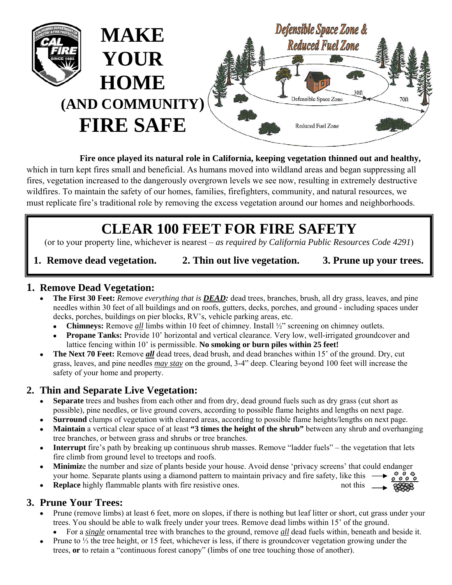

#### **Fire once played its natural role in California, keeping vegetation thinned out and healthy,**

which in turn kept fires small and beneficial. As humans moved into wildland areas and began suppressing all fires, vegetation increased to the dangerously overgrown levels we see now, resulting in extremely destructive wildfires. To maintain the safety of our homes, families, firefighters, community, and natural resources, we must replicate fire's traditional role by removing the excess vegetation around our homes and neighborhoods.

# **CLEAR 100 FEET FOR FIRE SAFETY**

(or to your property line, whichever is nearest – *as required by California Public Resources Code 4291*)

#### **1. Remove dead vegetation. 2. Thin out live vegetation. 3. Prune up your trees.**

## **1. Remove Dead Vegetation:**

- **The First 30 Feet:** *Remove everything that is DEAD:* dead trees, branches, brush, all dry grass, leaves, and pine needles within 30 feet of all buildings and on roofs, gutters, decks, porches, and ground - including spaces under decks, porches, buildings on pier blocks, RV's, vehicle parking areas, etc.
	- **Chimneys:** Remove *all* limbs within 10 feet of chimney. Install ½" screening on chimney outlets.
	- **Propane Tanks:** Provide 10' horizontal and vertical clearance. Very low, well-irrigated groundcover and lattice fencing within 10' is permissible. **No smoking or burn piles within 25 feet!**
- **The Next 70 Feet:** Remove *all* dead trees, dead brush, and dead branches within 15' of the ground. Dry, cut grass, leaves, and pine needles *may stay* on the ground, 3-4" deep. Clearing beyond 100 feet will increase the safety of your home and property.

## **2. Thin and Separate Live Vegetation:**

- **Separate** trees and bushes from each other and from dry, dead ground fuels such as dry grass (cut short as possible), pine needles, or live ground covers, according to possible flame heights and lengths on next page.
- **Surround** clumps of vegetation with cleared areas, according to possible flame heights/lengths on next page.
- **Maintain** a vertical clear space of at least **"3 times the height of the shrub"** between any shrub and overhanging tree branches, or between grass and shrubs or tree branches.
- **Interrupt** fire's path by breaking up continuous shrub masses. Remove "ladder fuels" the vegetation that lets fire climb from ground level to treetops and roofs.
- **Minimiz**e the number and size of plants beside your house. Avoid dense 'privacy screens' that could endanger your home. Separate plants using a diamond pattern to maintain privacy and fire safety, like this
- **Replace** highly flammable plants with fire resistive ones. not this

## **3. Prune Your Trees:**

- Prune (remove limbs) at least 6 feet, more on slopes, if there is nothing but leaf litter or short, cut grass under your trees. You should be able to walk freely under your trees. Remove dead limbs within 15' of the ground.
	- For a *single* ornamental tree with branches to the ground, remove *all* dead fuels within, beneath and beside it.
- Prune to  $\frac{1}{3}$  the tree height, or 15 feet, whichever is less, if there is groundcover vegetation growing under the trees, **or** to retain a "continuous forest canopy" (limbs of one tree touching those of another).